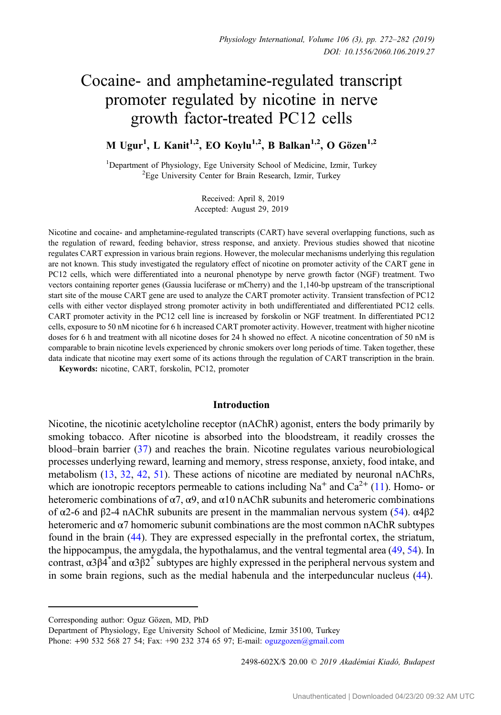# Cocaine- and amphetamine-regulated transcript promoter regulated by nicotine in nerve growth factor-treated PC12 cells

M Ugur<sup>1</sup>, L Kanit<sup>1,2</sup>, EO Koylu<sup>1,2</sup>, B Balkan<sup>1,2</sup>, O Gözen<sup>1,2</sup>

<sup>1</sup>Department of Physiology, Ege University School of Medicine, Izmir, Turkey  ${}^{2}$ Ege University Center for Brain Besearch Izmir, Turkey  ${}^{2}$ Ege University Center for Brain Research, Izmir, Turkey

> Received: April 8, 2019 Accepted: August 29, 2019

Nicotine and cocaine- and amphetamine-regulated transcripts (CART) have several overlapping functions, such as the regulation of reward, feeding behavior, stress response, and anxiety. Previous studies showed that nicotine regulates CART expression in various brain regions. However, the molecular mechanisms underlying this regulation are not known. This study investigated the regulatory effect of nicotine on promoter activity of the CART gene in PC12 cells, which were differentiated into a neuronal phenotype by nerve growth factor (NGF) treatment. Two vectors containing reporter genes (Gaussia luciferase or mCherry) and the 1,140-bp upstream of the transcriptional start site of the mouse CART gene are used to analyze the CART promoter activity. Transient transfection of PC12 cells with either vector displayed strong promoter activity in both undifferentiated and differentiated PC12 cells. CART promoter activity in the PC12 cell line is increased by forskolin or NGF treatment. In differentiated PC12 cells, exposure to 50 nM nicotine for 6 h increased CART promoter activity. However, treatment with higher nicotine doses for 6 h and treatment with all nicotine doses for 24 h showed no effect. A nicotine concentration of 50 nM is comparable to brain nicotine levels experienced by chronic smokers over long periods of time. Taken together, these data indicate that nicotine may exert some of its actions through the regulation of CART transcription in the brain.

Keywords: nicotine, CART, forskolin, PC12, promoter

#### Introduction

Nicotine, the nicotinic acetylcholine receptor (nAChR) agonist, enters the body primarily by smoking tobacco. After nicotine is absorbed into the bloodstream, it readily crosses the blood–brain barrier ([37\)](#page-9-0) and reaches the brain. Nicotine regulates various neurobiological processes underlying reward, learning and memory, stress response, anxiety, food intake, and metabolism ([13,](#page-8-0) [32](#page-9-0), [42](#page-9-0), [51](#page-10-0)). These actions of nicotine are mediated by neuronal nAChRs, which are ionotropic receptors permeable to cations including  $Na<sup>+</sup>$  and  $Ca<sup>2+</sup>$  ([11\)](#page-8-0). Homo- or heteromeric combinations of  $\alpha$ 7,  $\alpha$ 9, and  $\alpha$ 10 nAChR subunits and heteromeric combinations of α2-6 and β2-4 nAChR subunits are present in the mammalian nervous system [\(54](#page-10-0)).  $\alpha$ 4β2 heteromeric and  $\alpha$ 7 homomeric subunit combinations are the most common nAChR subtypes found in the brain [\(44](#page-9-0)). They are expressed especially in the prefrontal cortex, the striatum, the hippocampus, the amygdala, the hypothalamus, and the ventral tegmental area [\(49](#page-9-0), [54\)](#page-10-0). In contrast,  $\alpha 3\beta \overline{4}^*$  and  $\alpha 3\beta \overline{2}^*$  subtypes are highly expressed in the peripheral nervous system and in some brain regions, such as the medial habenula and the interpeduncular nucleus ([44\)](#page-9-0).

2498-602X/\$ 20.00 © 2019 Akadémiai Kiadó, Budapest

Corresponding author: Oguz Gözen, MD, PhD

Department of Physiology, Ege University School of Medicine, Izmir 35100, Turkey Phone: +90 532 568 27 54; Fax: +90 232 374 65 97; E-mail: [oguzgozen@gmail.com](mailto:oguzgozen@gmail.com)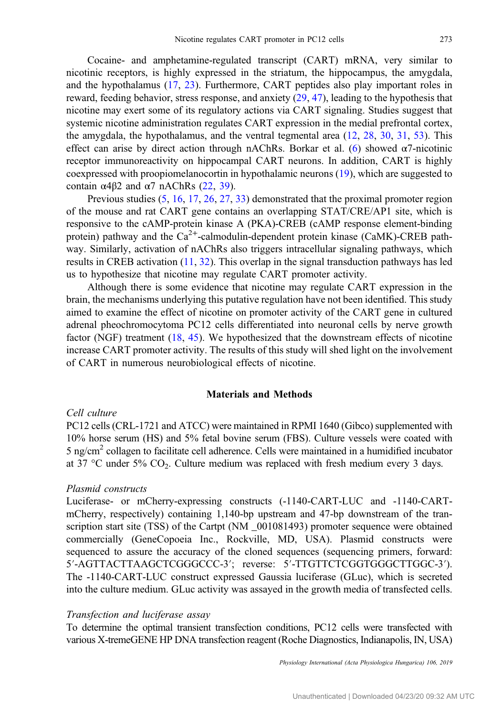Cocaine- and amphetamine-regulated transcript (CART) mRNA, very similar to nicotinic receptors, is highly expressed in the striatum, the hippocampus, the amygdala, and the hypothalamus [\(17](#page-8-0), [23](#page-8-0)). Furthermore, CART peptides also play important roles in reward, feeding behavior, stress response, and anxiety ([29,](#page-9-0) [47\)](#page-9-0), leading to the hypothesis that nicotine may exert some of its regulatory actions via CART signaling. Studies suggest that systemic nicotine administration regulates CART expression in the medial prefrontal cortex, the amygdala, the hypothalamus, and the ventral tegmental area  $(12, 28, 30, 31, 53)$  $(12, 28, 30, 31, 53)$  $(12, 28, 30, 31, 53)$  $(12, 28, 30, 31, 53)$  $(12, 28, 30, 31, 53)$  $(12, 28, 30, 31, 53)$  $(12, 28, 30, 31, 53)$  $(12, 28, 30, 31, 53)$  $(12, 28, 30, 31, 53)$  $(12, 28, 30, 31, 53)$  $(12, 28, 30, 31, 53)$ . This effect can arise by direct action through nAChRs. Borkar et al. ([6\)](#page-8-0) showed  $\alpha$ 7-nicotinic receptor immunoreactivity on hippocampal CART neurons. In addition, CART is highly coexpressed with proopiomelanocortin in hypothalamic neurons [\(19](#page-8-0)), which are suggested to contain  $α4β2$  and  $α7$  nAChRs [\(22,](#page-8-0) [39](#page-9-0)).

Previous studies  $(5, 16, 17, 26, 27, 33)$  $(5, 16, 17, 26, 27, 33)$  $(5, 16, 17, 26, 27, 33)$  $(5, 16, 17, 26, 27, 33)$  $(5, 16, 17, 26, 27, 33)$  $(5, 16, 17, 26, 27, 33)$  $(5, 16, 17, 26, 27, 33)$  $(5, 16, 17, 26, 27, 33)$  $(5, 16, 17, 26, 27, 33)$  $(5, 16, 17, 26, 27, 33)$  $(5, 16, 17, 26, 27, 33)$  $(5, 16, 17, 26, 27, 33)$  demonstrated that the proximal promoter region of the mouse and rat CART gene contains an overlapping STAT/CRE/AP1 site, which is responsive to the cAMP-protein kinase A (PKA)-CREB (cAMP response element-binding protein) pathway and the  $Ca^{2+}$ -calmodulin-dependent protein kinase (CaMK)-CREB pathway. Similarly, activation of nAChRs also triggers intracellular signaling pathways, which results in CREB activation ([11,](#page-8-0) [32\)](#page-9-0). This overlap in the signal transduction pathways has led us to hypothesize that nicotine may regulate CART promoter activity.

Although there is some evidence that nicotine may regulate CART expression in the brain, the mechanisms underlying this putative regulation have not been identified. This study aimed to examine the effect of nicotine on promoter activity of the CART gene in cultured adrenal pheochromocytoma PC12 cells differentiated into neuronal cells by nerve growth factor (NGF) treatment [\(18](#page-8-0), [45\)](#page-9-0). We hypothesized that the downstream effects of nicotine increase CART promoter activity. The results of this study will shed light on the involvement of CART in numerous neurobiological effects of nicotine.

## Materials and Methods

#### Cell culture

PC12 cells (CRL-1721 and ATCC) were maintained in RPMI 1640 (Gibco) supplemented with 10% horse serum (HS) and 5% fetal bovine serum (FBS). Culture vessels were coated with 5 ng/cm2 collagen to facilitate cell adherence. Cells were maintained in a humidified incubator at 37 °C under 5%  $CO<sub>2</sub>$ . Culture medium was replaced with fresh medium every 3 days.

# Plasmid constructs

Luciferase- or mCherry-expressing constructs (-1140-CART-LUC and -1140-CARTmCherry, respectively) containing 1,140-bp upstream and 47-bp downstream of the transcription start site (TSS) of the Cartpt (NM  $001081493$ ) promoter sequence were obtained commercially (GeneCopoeia Inc., Rockville, MD, USA). Plasmid constructs were sequenced to assure the accuracy of the cloned sequences (sequencing primers, forward: <sup>5</sup>′-AGTTACTTAAGCTCGGGCCC-3′; reverse: 5′-TTGTTCTCGGTGGGCTTGGC-3′). The -1140-CART-LUC construct expressed Gaussia luciferase (GLuc), which is secreted into the culture medium. GLuc activity was assayed in the growth media of transfected cells.

#### Transfection and luciferase assay

To determine the optimal transient transfection conditions, PC12 cells were transfected with various X-tremeGENE HP DNA transfection reagent (Roche Diagnostics, Indianapolis, IN, USA)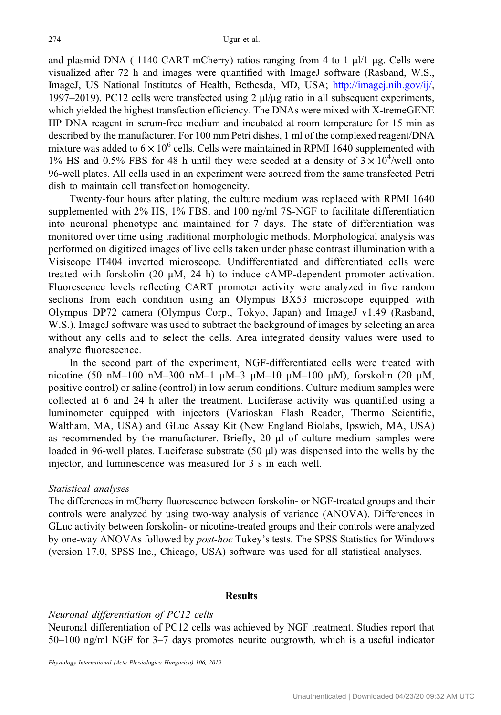and plasmid DNA (-1140-CART-mCherry) ratios ranging from 4 to 1  $\mu$ l/1  $\mu$ g. Cells were visualized after 72 h and images were quantified with ImageJ software (Rasband, W.S., ImageJ, US National Institutes of Health, Bethesda, MD, USA; [http://imagej.nih.gov/ij/,](http://imagej.nih.gov/ij/) 1997–2019). PC12 cells were transfected using 2  $\mu$ /μg ratio in all subsequent experiments, which yielded the highest transfection efficiency. The DNAs were mixed with X-tremeGENE HP DNA reagent in serum-free medium and incubated at room temperature for 15 min as described by the manufacturer. For 100 mm Petri dishes, 1 ml of the complexed reagent/DNA mixture was added to  $6 \times 10^{6}$  cells. Cells were maintained in RPMI 1640 supplemented with 1% HS and 0.5% FBS for 48 h until they were seeded at a density of  $3 \times 10^4$ /well onto 96-well plates. All cells used in an experiment were sourced from the same transfected Petri dish to maintain cell transfection homogeneity.

Twenty-four hours after plating, the culture medium was replaced with RPMI 1640 supplemented with 2% HS, 1% FBS, and 100 ng/ml 7S-NGF to facilitate differentiation into neuronal phenotype and maintained for 7 days. The state of differentiation was monitored over time using traditional morphologic methods. Morphological analysis was performed on digitized images of live cells taken under phase contrast illumination with a Visiscope IT404 inverted microscope. Undifferentiated and differentiated cells were treated with forskolin (20  $\mu$ M, 24 h) to induce cAMP-dependent promoter activation. Fluorescence levels reflecting CART promoter activity were analyzed in five random sections from each condition using an Olympus BX53 microscope equipped with Olympus DP72 camera (Olympus Corp., Tokyo, Japan) and ImageJ v1.49 (Rasband, W.S.). ImageJ software was used to subtract the background of images by selecting an area without any cells and to select the cells. Area integrated density values were used to analyze fluorescence.

In the second part of the experiment, NGF-differentiated cells were treated with nicotine (50 nM–100 nM–300 nM–1  $\mu$ M–3  $\mu$ M–10  $\mu$ M–100  $\mu$ M), forskolin (20  $\mu$ M, positive control) or saline (control) in low serum conditions. Culture medium samples were collected at 6 and 24 h after the treatment. Luciferase activity was quantified using a luminometer equipped with injectors (Varioskan Flash Reader, Thermo Scientific, Waltham, MA, USA) and GLuc Assay Kit (New England Biolabs, Ipswich, MA, USA) as recommended by the manufacturer. Briefly, 20 μl of culture medium samples were loaded in 96-well plates. Luciferase substrate (50 μl) was dispensed into the wells by the injector, and luminescence was measured for 3 s in each well.

## Statistical analyses

The differences in mCherry fluorescence between forskolin- or NGF-treated groups and their controls were analyzed by using two-way analysis of variance (ANOVA). Differences in GLuc activity between forskolin- or nicotine-treated groups and their controls were analyzed by one-way ANOVAs followed by post-hoc Tukey's tests. The SPSS Statistics for Windows (version 17.0, SPSS Inc., Chicago, USA) software was used for all statistical analyses.

#### Results

## Neuronal differentiation of PC12 cells

Neuronal differentiation of PC12 cells was achieved by NGF treatment. Studies report that 50–100 ng/ml NGF for 3–7 days promotes neurite outgrowth, which is a useful indicator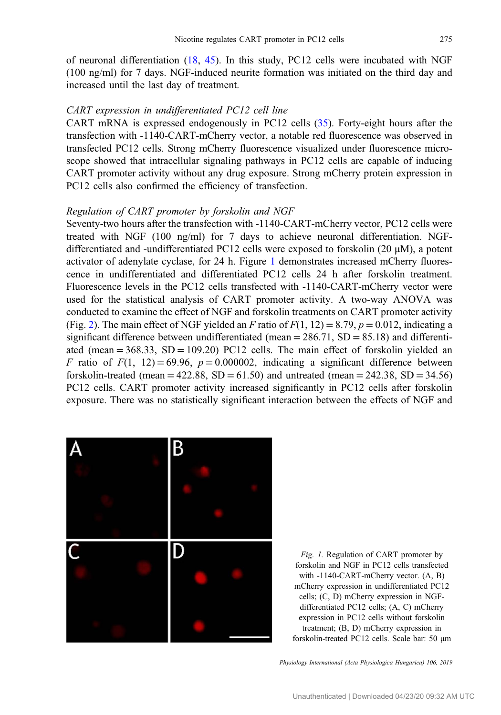<span id="page-3-0"></span>of neuronal differentiation [\(18](#page-8-0), [45\)](#page-9-0). In this study, PC12 cells were incubated with NGF (100 ng/ml) for 7 days. NGF-induced neurite formation was initiated on the third day and increased until the last day of treatment.

# CART expression in undifferentiated PC12 cell line

CART mRNA is expressed endogenously in PC12 cells ([35\)](#page-9-0). Forty-eight hours after the transfection with -1140-CART-mCherry vector, a notable red fluorescence was observed in transfected PC12 cells. Strong mCherry fluorescence visualized under fluorescence microscope showed that intracellular signaling pathways in PC12 cells are capable of inducing CART promoter activity without any drug exposure. Strong mCherry protein expression in PC12 cells also confirmed the efficiency of transfection.

#### Regulation of CART promoter by forskolin and NGF

Seventy-two hours after the transfection with -1140-CART-mCherry vector, PC12 cells were treated with NGF (100 ng/ml) for 7 days to achieve neuronal differentiation. NGFdifferentiated and -undifferentiated PC12 cells were exposed to forskolin (20 μM), a potent activator of adenylate cyclase, for 24 h. Figure 1 demonstrates increased mCherry fluorescence in undifferentiated and differentiated PC12 cells 24 h after forskolin treatment. Fluorescence levels in the PC12 cells transfected with -1140-CART-mCherry vector were used for the statistical analysis of CART promoter activity. A two-way ANOVA was conducted to examine the effect of NGF and forskolin treatments on CART promoter activity (Fig. [2](#page-4-0)). The main effect of NGF yielded an F ratio of  $F(1, 12) = 8.79$ ,  $p = 0.012$ , indicating a significant difference between undifferentiated (mean  $= 286.71$ , SD  $= 85.18$ ) and differentiated (mean  $= 368.33$ ,  $SD = 109.20$ ) PC12 cells. The main effect of forskolin yielded an F ratio of  $F(1, 12) = 69.96$ ,  $p = 0.000002$ , indicating a significant difference between forskolin-treated (mean =  $422.88$ , SD =  $61.50$ ) and untreated (mean =  $242.38$ , SD =  $34.56$ ) PC12 cells. CART promoter activity increased significantly in PC12 cells after forskolin exposure. There was no statistically significant interaction between the effects of NGF and



Fig. 1. Regulation of CART promoter by forskolin and NGF in PC12 cells transfected with -1140-CART-mCherry vector. (A, B) mCherry expression in undifferentiated PC12 cells; (C, D) mCherry expression in NGFdifferentiated PC12 cells; (A, C) mCherry expression in PC12 cells without forskolin treatment; (B, D) mCherry expression in forskolin-treated PC12 cells. Scale bar: 50 μm

Physiology International (Acta Physiologica Hungarica) 106, 2019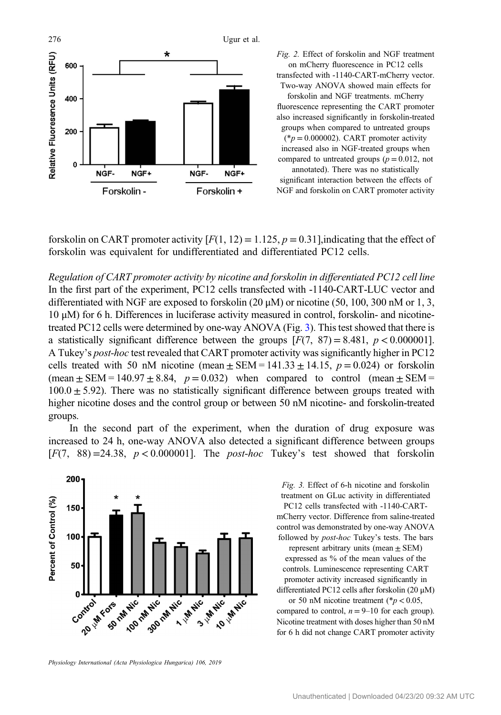<span id="page-4-0"></span>

Fig. 2. Effect of forskolin and NGF treatment on mCherry fluorescence in PC12 cells transfected with -1140-CART-mCherry vector. Two-way ANOVA showed main effects for

forskolin and NGF treatments. mCherry fluorescence representing the CART promoter also increased significantly in forskolin-treated groups when compared to untreated groups  $(*p = 0.000002)$ . CART promoter activity increased also in NGF-treated groups when compared to untreated groups ( $p = 0.012$ , not annotated). There was no statistically significant interaction between the effects of NGF and forskolin on CART promoter activity

forskolin on CART promoter activity  $[F(1, 12) = 1.125, p = 0.31]$ , indicating that the effect of forskolin was equivalent for undifferentiated and differentiated PC12 cells.

Regulation of CART promoter activity by nicotine and forskolin in differentiated PC12 cell line In the first part of the experiment, PC12 cells transfected with -1140-CART-LUC vector and differentiated with NGF are exposed to forskolin (20 μM) or nicotine (50, 100, 300 nM or 1, 3, 10 μM) for 6 h. Differences in luciferase activity measured in control, forskolin- and nicotinetreated PC12 cells were determined by one-way ANOVA (Fig. 3). This test showed that there is a statistically significant difference between the groups  $[F(7, 87) = 8.481, p < 0.000001]$ . A Tukey's post-hoc test revealed that CART promoter activity was significantly higher in PC12 cells treated with 50 nM nicotine (mean  $\pm$  SEM = 141.33  $\pm$  14.15,  $p = 0.024$ ) or forskolin (mean  $\pm$  SEM = 140.97  $\pm$  8.84, p = 0.032) when compared to control (mean  $\pm$  SEM =  $100.0 \pm 5.92$ ). There was no statistically significant difference between groups treated with higher nicotine doses and the control group or between 50 nM nicotine- and forskolin-treated groups.

In the second part of the experiment, when the duration of drug exposure was increased to 24 h, one-way ANOVA also detected a significant difference between groups  $[F(7, 88) = 24.38, p < 0.000001]$ . The *post-hoc* Tukey's test showed that forskoling



Physiology International (Acta Physiologica Hungarica) 106, 2019

Fig. 3. Effect of 6-h nicotine and forskolin treatment on GLuc activity in differentiated PC12 cells transfected with -1140-CARTmCherry vector. Difference from saline-treated control was demonstrated by one-way ANOVA followed by post-hoc Tukey's tests. The bars represent arbitrary units (mean  $\pm$  SEM) expressed as % of the mean values of the controls. Luminescence representing CART promoter activity increased significantly in differentiated PC12 cells after forskolin (20 μM) or 50 nM nicotine treatment ( $p < 0.05$ ,

compared to control,  $n = 9-10$  for each group). Nicotine treatment with doses higher than 50 nM for 6 h did not change CART promoter activity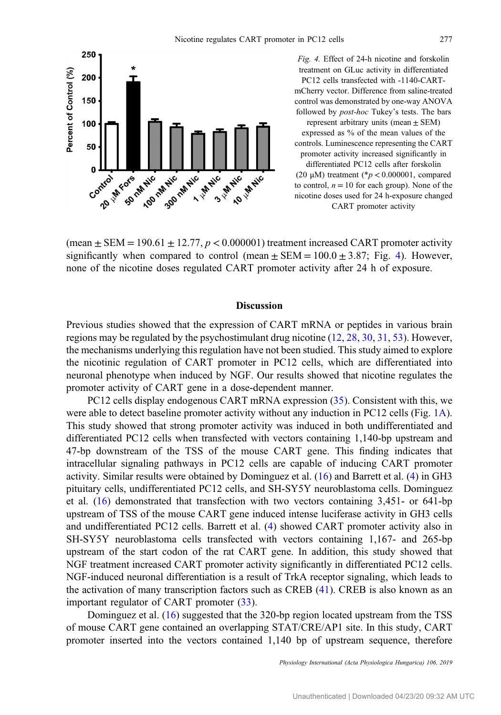

Fig. 4. Effect of 24-h nicotine and forskolin treatment on GLuc activity in differentiated PC12 cells transfected with -1140-CARTmCherry vector. Difference from saline-treated control was demonstrated by one-way ANOVA followed by post-hoc Tukey's tests. The bars represent arbitrary units (mean ± SEM) expressed as % of the mean values of the controls. Luminescence representing the CART promoter activity increased significantly in differentiated PC12 cells after forskolin (20  $\mu$ M) treatment (\* $p < 0.000001$ , compared to control,  $n = 10$  for each group). None of the nicotine doses used for 24 h-exposure changed CART promoter activity

(mean  $\pm$  SEM = 190.61  $\pm$  12.77,  $p < 0.000001$ ) treatment increased CART promoter activity significantly when compared to control (mean  $\pm$  SEM = 100.0  $\pm$  3.87; Fig. 4). However, none of the nicotine doses regulated CART promoter activity after 24 h of exposure.

#### Discussion

Previous studies showed that the expression of CART mRNA or peptides in various brain regions may be regulated by the psychostimulant drug nicotine ([12,](#page-8-0) [28](#page-9-0), [30](#page-9-0), [31,](#page-9-0) [53](#page-10-0)). However, the mechanisms underlying this regulation have not been studied. This study aimed to explore the nicotinic regulation of CART promoter in PC12 cells, which are differentiated into neuronal phenotype when induced by NGF. Our results showed that nicotine regulates the promoter activity of CART gene in a dose-dependent manner.

PC12 cells display endogenous CART mRNA expression ([35](#page-9-0)). Consistent with this, we were able to detect baseline promoter activity without any induction in PC12 cells (Fig. [1A](#page-3-0)). This study showed that strong promoter activity was induced in both undifferentiated and differentiated PC12 cells when transfected with vectors containing 1,140-bp upstream and 47-bp downstream of the TSS of the mouse CART gene. This finding indicates that intracellular signaling pathways in PC12 cells are capable of inducing CART promoter activity. Similar results were obtained by Dominguez et al. [\(16](#page-8-0)) and Barrett et al. ([4\)](#page-8-0) in GH3 pituitary cells, undifferentiated PC12 cells, and SH-SY5Y neuroblastoma cells. Dominguez et al. ([16\)](#page-8-0) demonstrated that transfection with two vectors containing 3,451- or 641-bp upstream of TSS of the mouse CART gene induced intense luciferase activity in GH3 cells and undifferentiated PC12 cells. Barrett et al. ([4\)](#page-8-0) showed CART promoter activity also in SH-SY5Y neuroblastoma cells transfected with vectors containing 1,167- and 265-bp upstream of the start codon of the rat CART gene. In addition, this study showed that NGF treatment increased CART promoter activity significantly in differentiated PC12 cells. NGF-induced neuronal differentiation is a result of TrkA receptor signaling, which leads to the activation of many transcription factors such as CREB [\(41](#page-9-0)). CREB is also known as an important regulator of CART promoter ([33\)](#page-9-0).

Dominguez et al. [\(16](#page-8-0)) suggested that the 320-bp region located upstream from the TSS of mouse CART gene contained an overlapping STAT/CRE/AP1 site. In this study, CART promoter inserted into the vectors contained 1,140 bp of upstream sequence, therefore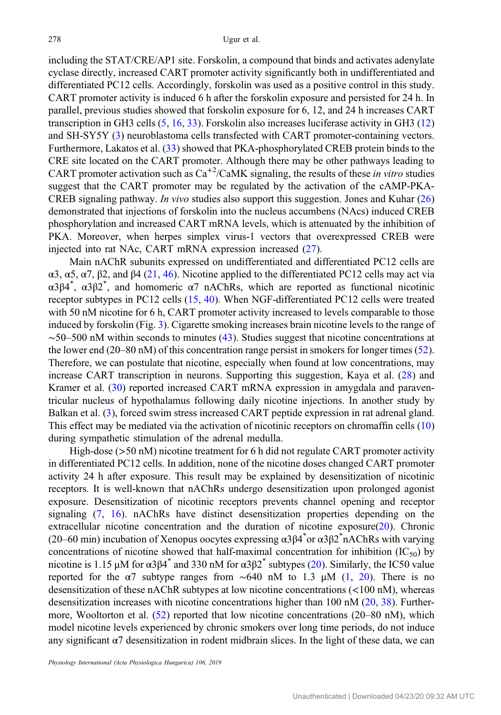including the STAT/CRE/AP1 site. Forskolin, a compound that binds and activates adenylate cyclase directly, increased CART promoter activity significantly both in undifferentiated and differentiated PC12 cells. Accordingly, forskolin was used as a positive control in this study. CART promoter activity is induced 6 h after the forskolin exposure and persisted for 24 h. In parallel, previous studies showed that forskolin exposure for 6, 12, and 24 h increases CART transcription in GH3 cells [\(5](#page-8-0), [16](#page-8-0), [33\)](#page-9-0). Forskolin also increases luciferase activity in GH3 ([12\)](#page-8-0) and SH-SY5Y ([3\)](#page-8-0) neuroblastoma cells transfected with CART promoter-containing vectors. Furthermore, Lakatos et al. ([33\)](#page-9-0) showed that PKA-phosphorylated CREB protein binds to the CRE site located on the CART promoter. Although there may be other pathways leading to CART promoter activation such as  $Ca^{+2}/CaMK$  signaling, the results of these in vitro studies suggest that the CART promoter may be regulated by the activation of the cAMP-PKA-CREB signaling pathway. In vivo studies also support this suggestion. Jones and Kuhar ([26\)](#page-8-0) demonstrated that injections of forskolin into the nucleus accumbens (NAcs) induced CREB phosphorylation and increased CART mRNA levels, which is attenuated by the inhibition of PKA. Moreover, when herpes simplex virus-1 vectors that overexpressed CREB were injected into rat NAc, CART mRNA expression increased ([27\)](#page-8-0).

Main nAChR subunits expressed on undifferentiated and differentiated PC12 cells are α3, α5, α7, β2, and β4 ([21,](#page-8-0) [46\)](#page-9-0). Nicotine applied to the differentiated PC12 cells may act via α3β4<sup>\*</sup>, α3β2<sup>\*</sup>, and homomeric α7 nAChRs, which are reported as functional nicotinic receptor subtypes in PC12 cells ([15,](#page-8-0) [40\)](#page-9-0). When NGF-differentiated PC12 cells were treated with 50 nM nicotine for 6 h, CART promoter activity increased to levels comparable to those induced by forskolin (Fig. [3](#page-4-0)). Cigarette smoking increases brain nicotine levels to the range of  $~50–500$  nM within seconds to minutes [\(43](#page-9-0)). Studies suggest that nicotine concentrations at the lower end (20–80 nM) of this concentration range persist in smokers for longer times [\(52](#page-10-0)). Therefore, we can postulate that nicotine, especially when found at low concentrations, may increase CART transcription in neurons. Supporting this suggestion, Kaya et al. ([28\)](#page-9-0) and Kramer et al. [\(30](#page-9-0)) reported increased CART mRNA expression in amygdala and paraventricular nucleus of hypothalamus following daily nicotine injections. In another study by Balkan et al. ([3](#page-8-0)), forced swim stress increased CART peptide expression in rat adrenal gland. This effect may be mediated via the activation of nicotinic receptors on chromaffin cells ([10\)](#page-8-0) during sympathetic stimulation of the adrenal medulla.

High-dose (>50 nM) nicotine treatment for 6 h did not regulate CART promoter activity in differentiated PC12 cells. In addition, none of the nicotine doses changed CART promoter activity 24 h after exposure. This result may be explained by desensitization of nicotinic receptors. It is well-known that nAChRs undergo desensitization upon prolonged agonist exposure. Desensitization of nicotinic receptors prevents channel opening and receptor signaling ([7,](#page-8-0) [16](#page-8-0)). nAChRs have distinct desensitization properties depending on the extracellular nicotine concentration and the duration of nicotine exposure[\(20](#page-8-0)). Chronic (20–60 min) incubation of Xenopus oocytes expressing α3β4\* or α3β2\* nAChRs with varying concentrations of nicotine showed that half-maximal concentration for inhibition  $(IC_{50})$  by nicotine is 1.15 μM for α3β4<sup>\*</sup> and 330 nM for α3β2<sup>\*</sup> subtypes ([20\)](#page-8-0). Similarly, the IC50 value reported for the  $\alpha$ 7 subtype ranges from ~640 nM to 1.3 µM [\(1](#page-7-0), [20](#page-8-0)). There is no desensitization of these nAChR subtypes at low nicotine concentrations (<100 nM), whereas desensitization increases with nicotine concentrations higher than 100 nM [\(20](#page-8-0), [38](#page-9-0)). Furthermore, Wooltorton et al.  $(52)$  $(52)$  reported that low nicotine concentrations  $(20-80 \text{ nM})$ , which model nicotine levels experienced by chronic smokers over long time periods, do not induce any significant  $\alpha$ 7 desensitization in rodent midbrain slices. In the light of these data, we can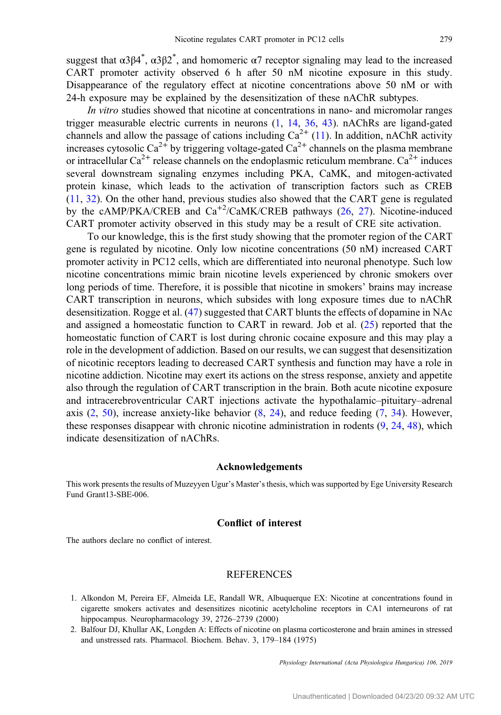<span id="page-7-0"></span>suggest that  $\alpha 3\beta 4^*$ ,  $\alpha 3\beta 2^*$ , and homomeric  $\alpha 7$  receptor signaling may lead to the increased CART promoter activity observed 6 h after 50 nM nicotine exposure in this study. Disappearance of the regulatory effect at nicotine concentrations above 50 nM or with 24-h exposure may be explained by the desensitization of these nAChR subtypes.

In vitro studies showed that nicotine at concentrations in nano- and micromolar ranges trigger measurable electric currents in neurons (1, [14](#page-8-0), [36,](#page-9-0) [43](#page-9-0)). nAChRs are ligand-gated channels and allow the passage of cations including  $Ca^{2+}$  ([11](#page-8-0)). In addition, nAChR activity increases cytosolic Ca<sup>2+</sup> by triggering voltage-gated Ca<sup>2+</sup> channels on the plasma membrane or intracellular  $Ca^{2+}$  release channels on the endoplasmic reticulum membrane.  $Ca^{2+}$  induces several downstream signaling enzymes including PKA, CaMK, and mitogen-activated protein kinase, which leads to the activation of transcription factors such as CREB [\(11](#page-8-0), [32\)](#page-9-0). On the other hand, previous studies also showed that the CART gene is regulated by the cAMP/PKA/CREB and  $Ca^{+2}/CaMK/CREB$  pathways ([26,](#page-8-0) [27\)](#page-8-0). Nicotine-induced CART promoter activity observed in this study may be a result of CRE site activation.

To our knowledge, this is the first study showing that the promoter region of the CART gene is regulated by nicotine. Only low nicotine concentrations (50 nM) increased CART promoter activity in PC12 cells, which are differentiated into neuronal phenotype. Such low nicotine concentrations mimic brain nicotine levels experienced by chronic smokers over long periods of time. Therefore, it is possible that nicotine in smokers' brains may increase CART transcription in neurons, which subsides with long exposure times due to nAChR desensitization. Rogge et al. ([47\)](#page-9-0) suggested that CART blunts the effects of dopamine in NAc and assigned a homeostatic function to CART in reward. Job et al. [\(25](#page-8-0)) reported that the homeostatic function of CART is lost during chronic cocaine exposure and this may play a role in the development of addiction. Based on our results, we can suggest that desensitization of nicotinic receptors leading to decreased CART synthesis and function may have a role in nicotine addiction. Nicotine may exert its actions on the stress response, anxiety and appetite also through the regulation of CART transcription in the brain. Both acute nicotine exposure and intracerebroventricular CART injections activate the hypothalamic–pituitary–adrenal axis  $(2, 50)$  $(2, 50)$  $(2, 50)$ , increase anxiety-like behavior  $(8, 24)$  $(8, 24)$  $(8, 24)$  $(8, 24)$ , and reduce feeding  $(7, 34)$  $(7, 34)$  $(7, 34)$ . However, these responses disappear with chronic nicotine administration in rodents  $(9, 24, 48)$  $(9, 24, 48)$  $(9, 24, 48)$  $(9, 24, 48)$  $(9, 24, 48)$  $(9, 24, 48)$  $(9, 24, 48)$ , which indicate desensitization of nAChRs.

#### Acknowledgements

This work presents the results of Muzeyyen Ugur's Master's thesis, which was supported by Ege University Research Fund Grant13-SBE-006.

# Conflict of interest

The authors declare no conflict of interest.

## REFERENCES

- 1. Alkondon M, Pereira EF, Almeida LE, Randall WR, Albuquerque EX: Nicotine at concentrations found in cigarette smokers activates and desensitizes nicotinic acetylcholine receptors in CA1 interneurons of rat hippocampus. Neuropharmacology 39, 2726–2739 (2000)
- 2. Balfour DJ, Khullar AK, Longden A: Effects of nicotine on plasma corticosterone and brain amines in stressed and unstressed rats. Pharmacol. Biochem. Behav. 3, 179–184 (1975)

Physiology International (Acta Physiologica Hungarica) 106, 2019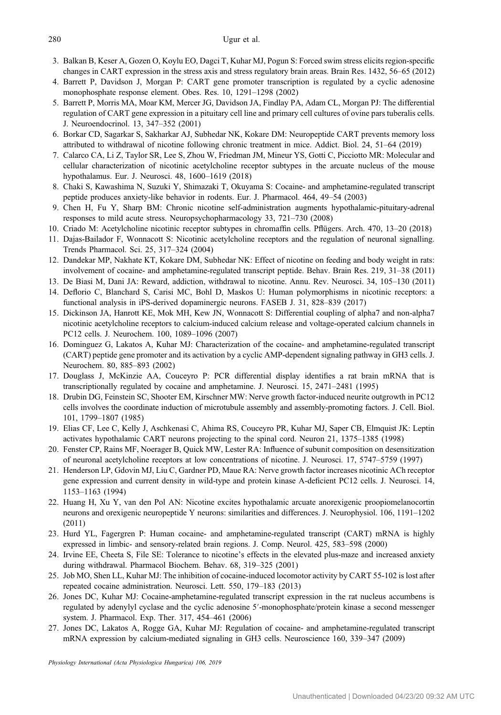- <span id="page-8-0"></span>3. Balkan B, Keser A, Gozen O, Koylu EO, Dagci T, Kuhar MJ, Pogun S: Forced swim stress elicits region-specific changes in CART expression in the stress axis and stress regulatory brain areas. Brain Res. 1432, 56–65 (2012)
- 4. Barrett P, Davidson J, Morgan P: CART gene promoter transcription is regulated by a cyclic adenosine monophosphate response element. Obes. Res. 10, 1291–1298 (2002)
- 5. Barrett P, Morris MA, Moar KM, Mercer JG, Davidson JA, Findlay PA, Adam CL, Morgan PJ: The differential regulation of CART gene expression in a pituitary cell line and primary cell cultures of ovine pars tuberalis cells. J. Neuroendocrinol. 13, 347–352 (2001)
- 6. Borkar CD, Sagarkar S, Sakharkar AJ, Subhedar NK, Kokare DM: Neuropeptide CART prevents memory loss attributed to withdrawal of nicotine following chronic treatment in mice. Addict. Biol. 24, 51–64 (2019)
- 7. Calarco CA, Li Z, Taylor SR, Lee S, Zhou W, Friedman JM, Mineur YS, Gotti C, Picciotto MR: Molecular and cellular characterization of nicotinic acetylcholine receptor subtypes in the arcuate nucleus of the mouse hypothalamus. Eur. J. Neurosci. 48, 1600–1619 (2018)
- 8. Chaki S, Kawashima N, Suzuki Y, Shimazaki T, Okuyama S: Cocaine- and amphetamine-regulated transcript peptide produces anxiety-like behavior in rodents. Eur. J. Pharmacol. 464, 49–54 (2003)
- 9. Chen H, Fu Y, Sharp BM: Chronic nicotine self-administration augments hypothalamic-pituitary-adrenal responses to mild acute stress. Neuropsychopharmacology 33, 721–730 (2008)
- 10. Criado M: Acetylcholine nicotinic receptor subtypes in chromaffin cells. Pflügers. Arch. 470, 13–20 (2018)
- 11. Dajas-Bailador F, Wonnacott S: Nicotinic acetylcholine receptors and the regulation of neuronal signalling. Trends Pharmacol. Sci. 25, 317–324 (2004)
- 12. Dandekar MP, Nakhate KT, Kokare DM, Subhedar NK: Effect of nicotine on feeding and body weight in rats: involvement of cocaine- and amphetamine-regulated transcript peptide. Behav. Brain Res. 219, 31–38 (2011)
- 13. De Biasi M, Dani JA: Reward, addiction, withdrawal to nicotine. Annu. Rev. Neurosci. 34, 105–130 (2011)
- 14. Deflorio C, Blanchard S, Carisi MC, Bohl D, Maskos U: Human polymorphisms in nicotinic receptors: a functional analysis in iPS-derived dopaminergic neurons. FASEB J. 31, 828–839 (2017)
- 15. Dickinson JA, Hanrott KE, Mok MH, Kew JN, Wonnacott S: Differential coupling of alpha7 and non-alpha7 nicotinic acetylcholine receptors to calcium-induced calcium release and voltage-operated calcium channels in PC12 cells. J. Neurochem. 100, 1089–1096 (2007)
- 16. Dominguez G, Lakatos A, Kuhar MJ: Characterization of the cocaine- and amphetamine-regulated transcript (CART) peptide gene promoter and its activation by a cyclic AMP-dependent signaling pathway in GH3 cells. J. Neurochem. 80, 885–893 (2002)
- 17. Douglass J, McKinzie AA, Couceyro P: PCR differential display identifies a rat brain mRNA that is transcriptionally regulated by cocaine and amphetamine. J. Neurosci. 15, 2471–2481 (1995)
- 18. Drubin DG, Feinstein SC, Shooter EM, Kirschner MW: Nerve growth factor-induced neurite outgrowth in PC12 cells involves the coordinate induction of microtubule assembly and assembly-promoting factors. J. Cell. Biol. 101, 1799–1807 (1985)
- 19. Elias CF, Lee C, Kelly J, Aschkenasi C, Ahima RS, Couceyro PR, Kuhar MJ, Saper CB, Elmquist JK: Leptin activates hypothalamic CART neurons projecting to the spinal cord. Neuron 21, 1375–1385 (1998)
- 20. Fenster CP, Rains MF, Noerager B, Quick MW, Lester RA: Influence of subunit composition on desensitization of neuronal acetylcholine receptors at low concentrations of nicotine. J. Neurosci. 17, 5747–5759 (1997)
- 21. Henderson LP, Gdovin MJ, Liu C, Gardner PD, Maue RA: Nerve growth factor increases nicotinic ACh receptor gene expression and current density in wild-type and protein kinase A-deficient PC12 cells. J. Neurosci. 14, 1153–1163 (1994)
- 22. Huang H, Xu Y, van den Pol AN: Nicotine excites hypothalamic arcuate anorexigenic proopiomelanocortin neurons and orexigenic neuropeptide Y neurons: similarities and differences. J. Neurophysiol. 106, 1191–1202 (2011)
- 23. Hurd YL, Fagergren P: Human cocaine- and amphetamine-regulated transcript (CART) mRNA is highly expressed in limbic- and sensory-related brain regions. J. Comp. Neurol. 425, 583–598 (2000)
- 24. Irvine EE, Cheeta S, File SE: Tolerance to nicotine's effects in the elevated plus-maze and increased anxiety during withdrawal. Pharmacol Biochem. Behav. 68, 319–325 (2001)
- 25. Job MO, Shen LL, Kuhar MJ: The inhibition of cocaine-induced locomotor activity by CART 55-102 is lost after repeated cocaine administration. Neurosci. Lett. 550, 179–183 (2013)
- 26. Jones DC, Kuhar MJ: Cocaine-amphetamine-regulated transcript expression in the rat nucleus accumbens is regulated by adenylyl cyclase and the cyclic adenosine 5′-monophosphate/protein kinase a second messenger system. J. Pharmacol. Exp. Ther. 317, 454–461 (2006)
- 27. Jones DC, Lakatos A, Rogge GA, Kuhar MJ: Regulation of cocaine- and amphetamine-regulated transcript mRNA expression by calcium-mediated signaling in GH3 cells. Neuroscience 160, 339–347 (2009)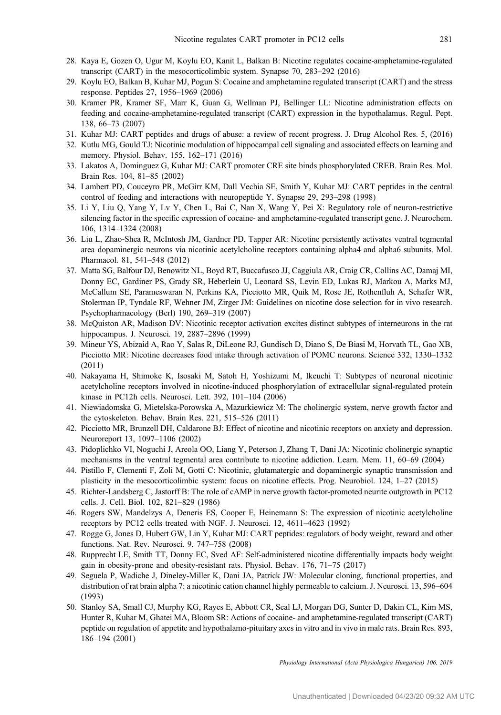- <span id="page-9-0"></span>28. Kaya E, Gozen O, Ugur M, Koylu EO, Kanit L, Balkan B: Nicotine regulates cocaine-amphetamine-regulated transcript (CART) in the mesocorticolimbic system. Synapse 70, 283–292 (2016)
- 29. Koylu EO, Balkan B, Kuhar MJ, Pogun S: Cocaine and amphetamine regulated transcript (CART) and the stress response. Peptides 27, 1956–1969 (2006)
- 30. Kramer PR, Kramer SF, Marr K, Guan G, Wellman PJ, Bellinger LL: Nicotine administration effects on feeding and cocaine-amphetamine-regulated transcript (CART) expression in the hypothalamus. Regul. Pept. 138, 66–73 (2007)
- 31. Kuhar MJ: CART peptides and drugs of abuse: a review of recent progress. J. Drug Alcohol Res. 5, (2016)
- 32. Kutlu MG, Gould TJ: Nicotinic modulation of hippocampal cell signaling and associated effects on learning and memory. Physiol. Behav. 155, 162–171 (2016)
- 33. Lakatos A, Dominguez G, Kuhar MJ: CART promoter CRE site binds phosphorylated CREB. Brain Res. Mol. Brain Res. 104, 81–85 (2002)
- 34. Lambert PD, Couceyro PR, McGirr KM, Dall Vechia SE, Smith Y, Kuhar MJ: CART peptides in the central control of feeding and interactions with neuropeptide Y. Synapse 29, 293–298 (1998)
- 35. Li Y, Liu Q, Yang Y, Lv Y, Chen L, Bai C, Nan X, Wang Y, Pei X: Regulatory role of neuron-restrictive silencing factor in the specific expression of cocaine- and amphetamine-regulated transcript gene. J. Neurochem. 106, 1314–1324 (2008)
- 36. Liu L, Zhao-Shea R, McIntosh JM, Gardner PD, Tapper AR: Nicotine persistently activates ventral tegmental area dopaminergic neurons via nicotinic acetylcholine receptors containing alpha4 and alpha6 subunits. Mol. Pharmacol. 81, 541–548 (2012)
- 37. Matta SG, Balfour DJ, Benowitz NL, Boyd RT, Buccafusco JJ, Caggiula AR, Craig CR, Collins AC, Damaj MI, Donny EC, Gardiner PS, Grady SR, Heberlein U, Leonard SS, Levin ED, Lukas RJ, Markou A, Marks MJ, McCallum SE, Parameswaran N, Perkins KA, Picciotto MR, Quik M, Rose JE, Rothenfluh A, Schafer WR, Stolerman IP, Tyndale RF, Wehner JM, Zirger JM: Guidelines on nicotine dose selection for in vivo research. Psychopharmacology (Berl) 190, 269–319 (2007)
- 38. McQuiston AR, Madison DV: Nicotinic receptor activation excites distinct subtypes of interneurons in the rat hippocampus. J. Neurosci. 19, 2887–2896 (1999)
- 39. Mineur YS, Abizaid A, Rao Y, Salas R, DiLeone RJ, Gundisch D, Diano S, De Biasi M, Horvath TL, Gao XB, Picciotto MR: Nicotine decreases food intake through activation of POMC neurons. Science 332, 1330–1332 (2011)
- 40. Nakayama H, Shimoke K, Isosaki M, Satoh H, Yoshizumi M, Ikeuchi T: Subtypes of neuronal nicotinic acetylcholine receptors involved in nicotine-induced phosphorylation of extracellular signal-regulated protein kinase in PC12h cells. Neurosci. Lett. 392, 101–104 (2006)
- 41. Niewiadomska G, Mietelska-Porowska A, Mazurkiewicz M: The cholinergic system, nerve growth factor and the cytoskeleton. Behav. Brain Res. 221, 515–526 (2011)
- 42. Picciotto MR, Brunzell DH, Caldarone BJ: Effect of nicotine and nicotinic receptors on anxiety and depression. Neuroreport 13, 1097–1106 (2002)
- 43. Pidoplichko VI, Noguchi J, Areola OO, Liang Y, Peterson J, Zhang T, Dani JA: Nicotinic cholinergic synaptic mechanisms in the ventral tegmental area contribute to nicotine addiction. Learn. Mem. 11, 60–69 (2004)
- 44. Pistillo F, Clementi F, Zoli M, Gotti C: Nicotinic, glutamatergic and dopaminergic synaptic transmission and plasticity in the mesocorticolimbic system: focus on nicotine effects. Prog. Neurobiol. 124, 1–27 (2015)
- 45. Richter-Landsberg C, Jastorff B: The role of cAMP in nerve growth factor-promoted neurite outgrowth in PC12 cells. J. Cell. Biol. 102, 821–829 (1986)
- 46. Rogers SW, Mandelzys A, Deneris ES, Cooper E, Heinemann S: The expression of nicotinic acetylcholine receptors by PC12 cells treated with NGF. J. Neurosci. 12, 4611–4623 (1992)
- 47. Rogge G, Jones D, Hubert GW, Lin Y, Kuhar MJ: CART peptides: regulators of body weight, reward and other functions. Nat. Rev. Neurosci. 9, 747–758 (2008)
- 48. Rupprecht LE, Smith TT, Donny EC, Sved AF: Self-administered nicotine differentially impacts body weight gain in obesity-prone and obesity-resistant rats. Physiol. Behav. 176, 71–75 (2017)
- 49. Seguela P, Wadiche J, Dineley-Miller K, Dani JA, Patrick JW: Molecular cloning, functional properties, and distribution of rat brain alpha 7: a nicotinic cation channel highly permeable to calcium. J. Neurosci. 13, 596–604 (1993)
- 50. Stanley SA, Small CJ, Murphy KG, Rayes E, Abbott CR, Seal LJ, Morgan DG, Sunter D, Dakin CL, Kim MS, Hunter R, Kuhar M, Ghatei MA, Bloom SR: Actions of cocaine- and amphetamine-regulated transcript (CART) peptide on regulation of appetite and hypothalamo-pituitary axes in vitro and in vivo in male rats. Brain Res. 893, 186–194 (2001)

Physiology International (Acta Physiologica Hungarica) 106, 2019